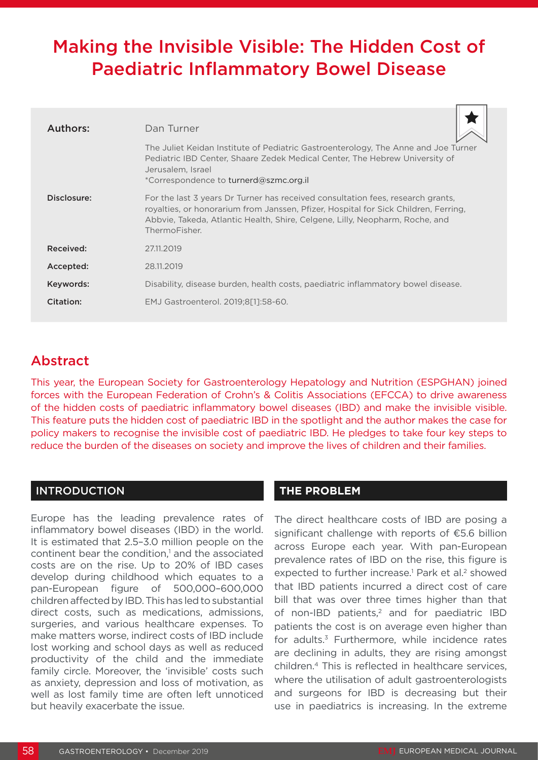## Making the Invisible Visible: The Hidden Cost of Paediatric Inflammatory Bowel Disease

| Authors:    | Dan Turner                                                                                                                                                                                                                                                              |
|-------------|-------------------------------------------------------------------------------------------------------------------------------------------------------------------------------------------------------------------------------------------------------------------------|
|             | The Juliet Keidan Institute of Pediatric Gastroenterology, The Anne and Joe Turner<br>Pediatric IBD Center, Shaare Zedek Medical Center, The Hebrew University of<br>Jerusalem, Israel<br>*Correspondence to turnerd@szmc.org.il                                        |
| Disclosure: | For the last 3 years Dr Turner has received consultation fees, research grants,<br>royalties, or honorarium from Janssen, Pfizer, Hospital for Sick Children, Ferring,<br>Abbyie, Takeda, Atlantic Health, Shire, Celgene, Lilly, Neopharm, Roche, and<br>ThermoFisher. |
| Received:   | 27.11.2019                                                                                                                                                                                                                                                              |
| Accepted:   | 28.11.2019                                                                                                                                                                                                                                                              |
| Keywords:   | Disability, disease burden, health costs, paediatric inflammatory bowel disease.                                                                                                                                                                                        |
| Citation:   | EMJ Gastroenterol. 2019;8[1]:58-60.                                                                                                                                                                                                                                     |

### Abstract

This year, the European Society for Gastroenterology Hepatology and Nutrition (ESPGHAN) joined forces with the European Federation of Crohn's & Colitis Associations (EFCCA) to drive awareness of the hidden costs of paediatric inflammatory bowel diseases (IBD) and make the invisible visible. This feature puts the hidden cost of paediatric IBD in the spotlight and the author makes the case for policy makers to recognise the invisible cost of paediatric IBD. He pledges to take four key steps to reduce the burden of the diseases on society and improve the lives of children and their families.

#### INTRODUCTION

Europe has the leading prevalence rates of inflammatory bowel diseases (IBD) in the world. It is estimated that 2.5–3.0 million people on the continent bear the condition,<sup>1</sup> and the associated costs are on the rise. Up to 20% of IBD cases develop during childhood which equates to a pan-European figure of 500,000–600,000 children affected by IBD. This has led to substantial direct costs, such as medications, admissions, surgeries, and various healthcare expenses. To make matters worse, indirect costs of IBD include lost working and school days as well as reduced productivity of the child and the immediate family circle. Moreover, the 'invisible' costs such as anxiety, depression and loss of motivation, as well as lost family time are often left unnoticed but heavily exacerbate the issue.

#### **THE PROBLEM**

The direct healthcare costs of IBD are posing a significant challenge with reports of €5.6 billion across Europe each year. With pan-European prevalence rates of IBD on the rise, this figure is expected to further increase.<sup>1</sup> Park et al.<sup>2</sup> showed that IBD patients incurred a direct cost of care bill that was over three times higher than that of non-IBD patients,<sup>2</sup> and for paediatric IBD patients the cost is on average even higher than for adults.<sup>3</sup> Furthermore, while incidence rates are declining in adults, they are rising amongst children.4 This is reflected in healthcare services, where the utilisation of adult gastroenterologists and surgeons for IBD is decreasing but their use in paediatrics is increasing. In the extreme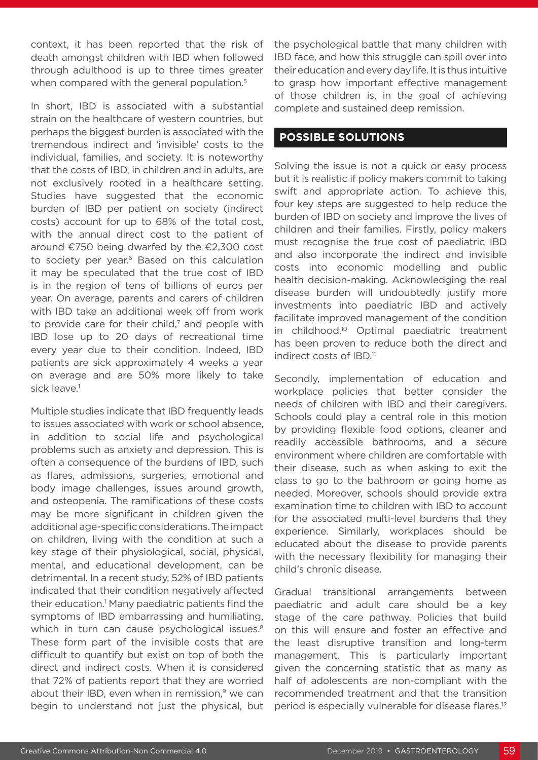context, it has been reported that the risk of death amongst children with IBD when followed through adulthood is up to three times greater when compared with the general population.<sup>5</sup>

In short, IBD is associated with a substantial strain on the healthcare of western countries, but perhaps the biggest burden is associated with the tremendous indirect and 'invisible' costs to the individual, families, and society. It is noteworthy that the costs of IBD, in children and in adults, are not exclusively rooted in a healthcare setting. Studies have suggested that the economic burden of IBD per patient on society (indirect costs) account for up to 68% of the total cost, with the annual direct cost to the patient of around €750 being dwarfed by the €2,300 cost to society per year.<sup>6</sup> Based on this calculation it may be speculated that the true cost of IBD is in the region of tens of billions of euros per year. On average, parents and carers of children with IBD take an additional week off from work to provide care for their child, $<sup>7</sup>$  and people with</sup> IBD lose up to 20 days of recreational time every year due to their condition. Indeed, IBD patients are sick approximately 4 weeks a year on average and are 50% more likely to take sick leave.<sup>1</sup>

Multiple studies indicate that IBD frequently leads to issues associated with work or school absence, in addition to social life and psychological problems such as anxiety and depression. This is often a consequence of the burdens of IBD, such as flares, admissions, surgeries, emotional and body image challenges, issues around growth, and osteopenia. The ramifications of these costs may be more significant in children given the additional age-specific considerations. The impact on children, living with the condition at such a key stage of their physiological, social, physical, mental, and educational development, can be detrimental. In a recent study, 52% of IBD patients indicated that their condition negatively affected their education.<sup>1</sup> Many paediatric patients find the symptoms of IBD embarrassing and humiliating, which in turn can cause psychological issues.<sup>8</sup> These form part of the invisible costs that are difficult to quantify but exist on top of both the direct and indirect costs. When it is considered that 72% of patients report that they are worried about their IBD, even when in remission, $9$  we can begin to understand not just the physical, but

the psychological battle that many children with IBD face, and how this struggle can spill over into their education and every day life. It is thus intuitive to grasp how important effective management of those children is, in the goal of achieving complete and sustained deep remission.

#### **POSSIBLE SOLUTIONS**

Solving the issue is not a quick or easy process but it is realistic if policy makers commit to taking swift and appropriate action. To achieve this, four key steps are suggested to help reduce the burden of IBD on society and improve the lives of children and their families. Firstly, policy makers must recognise the true cost of paediatric IBD and also incorporate the indirect and invisible costs into economic modelling and public health decision-making. Acknowledging the real disease burden will undoubtedly justify more investments into paediatric IBD and actively facilitate improved management of the condition in childhood.10 Optimal paediatric treatment has been proven to reduce both the direct and indirect costs of IBD.<sup>11</sup>

Secondly, implementation of education and workplace policies that better consider the needs of children with IBD and their caregivers. Schools could play a central role in this motion by providing flexible food options, cleaner and readily accessible bathrooms, and a secure environment where children are comfortable with their disease, such as when asking to exit the class to go to the bathroom or going home as needed. Moreover, schools should provide extra examination time to children with IBD to account for the associated multi-level burdens that they experience. Similarly, workplaces should be educated about the disease to provide parents with the necessary flexibility for managing their child's chronic disease.

Gradual transitional arrangements between paediatric and adult care should be a key stage of the care pathway. Policies that build on this will ensure and foster an effective and the least disruptive transition and long-term management. This is particularly important given the concerning statistic that as many as half of adolescents are non-compliant with the recommended treatment and that the transition period is especially vulnerable for disease flares.<sup>12</sup>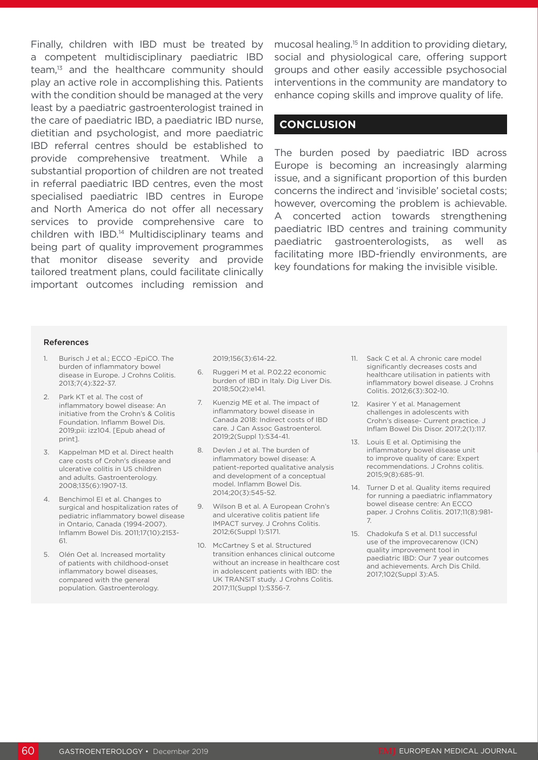Finally, children with IBD must be treated by a competent multidisciplinary paediatric IBD team,<sup>13</sup> and the healthcare community should play an active role in accomplishing this. Patients with the condition should be managed at the very least by a paediatric gastroenterologist trained in the care of paediatric IBD, a paediatric IBD nurse, dietitian and psychologist, and more paediatric IBD referral centres should be established to provide comprehensive treatment. While a substantial proportion of children are not treated in referral paediatric IBD centres, even the most specialised paediatric IBD centres in Europe and North America do not offer all necessary services to provide comprehensive care to children with IBD.14 Multidisciplinary teams and being part of quality improvement programmes that monitor disease severity and provide tailored treatment plans, could facilitate clinically important outcomes including remission and

mucosal healing.15 In addition to providing dietary, social and physiological care, offering support groups and other easily accessible psychosocial interventions in the community are mandatory to enhance coping skills and improve quality of life.

#### **CONCLUSION**

The burden posed by paediatric IBD across Europe is becoming an increasingly alarming issue, and a significant proportion of this burden concerns the indirect and 'invisible' societal costs; however, overcoming the problem is achievable. A concerted action towards strengthening paediatric IBD centres and training community paediatric gastroenterologists, as well as facilitating more IBD-friendly environments, are key foundations for making the invisible visible.

#### References

- 1. Burisch J et al.; ECCO -EpiCO. The burden of inflammatory bowel disease in Europe. J Crohns Colitis. 2013;7(4):322-37.
- 2. Park KT et al. The cost of inflammatory bowel disease: An initiative from the Crohn's & Colitis Foundation. Inflamm Bowel Dis. 2019;pii: izz104. [Epub ahead of print].
- 3. Kappelman MD et al. Direct health care costs of Crohn's disease and ulcerative colitis in US children and adults. Gastroenterology. 2008;135(6):1907-13.
- 4. Benchimol EI et al. Changes to surgical and hospitalization rates of pediatric inflammatory bowel disease in Ontario, Canada (1994-2007). Inflamm Bowel Dis. 2011;17(10):2153- 61.
- 5. Olén Oet al. Increased mortality of patients with childhood-onset inflammatory bowel diseases, compared with the general population. Gastroenterology.

2019;156(3):614-22.

- 6. Ruggeri M et al. P.02.22 economic burden of IBD in Italy. Dig Liver Dis. 2018;50(2):e141.
- 7. Kuenzig ME et al. The impact of inflammatory bowel disease in Canada 2018: Indirect costs of IBD care. J Can Assoc Gastroenterol. 2019;2(Suppl 1):S34-41.
- 8. Devlen J et al. The burden of inflammatory bowel disease: A patient-reported qualitative analysis and development of a conceptual model. Inflamm Bowel Dis. 2014;20(3):545-52.
- 9. Wilson B et al. A European Crohn's and ulcerative colitis patient life IMPACT survey. J Crohns Colitis. 2012;6(Suppl 1):S171.
- 10. McCartney S et al. Structured transition enhances clinical outcome without an increase in healthcare cost in adolescent patients with IBD: the UK TRANSIT study. J Crohns Colitis. 2017;11(Suppl 1):S356-7.
- 11. Sack C et al. A chronic care model significantly decreases costs and healthcare utilisation in patients with inflammatory bowel disease. J Crohns Colitis. 2012;6(3):302-10.
- 12. Kasirer Y et al. Management challenges in adolescents with Crohn's disease- Current practice. J Inflam Bowel Dis Disor. 2017;2(1):117.
- 13. Louis E et al. Optimising the inflammatory bowel disease unit to improve quality of care: Expert recommendations. J Crohns colitis. 2015;9(8):685-91.
- 14. Turner D et al. Quality items required for running a paediatric inflammatory bowel disease centre: An ECCO paper. J Crohns Colitis. 2017;11(8):981- 7.
- 15. Chadokufa S et al. D1.1 successful use of the improvecarenow (ICN) quality improvement tool in paediatric IBD: Our 7 year outcomes and achievements. Arch Dis Child. 2017;102(Suppl 3):A5.